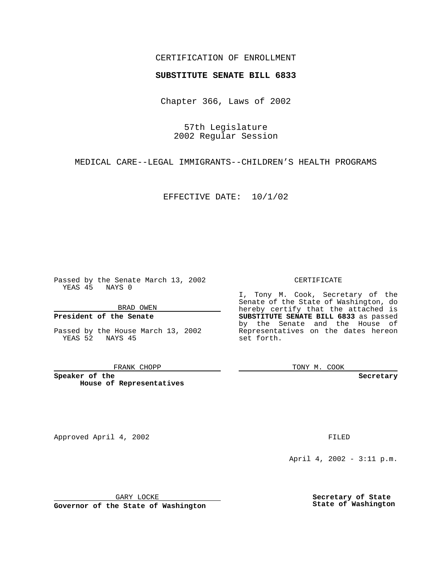## CERTIFICATION OF ENROLLMENT

# **SUBSTITUTE SENATE BILL 6833**

Chapter 366, Laws of 2002

57th Legislature 2002 Regular Session

MEDICAL CARE--LEGAL IMMIGRANTS--CHILDREN'S HEALTH PROGRAMS

EFFECTIVE DATE: 10/1/02

Passed by the Senate March 13, 2002 YEAS 45 NAYS 0

BRAD OWEN

### **President of the Senate**

Passed by the House March 13, 2002 YEAS 52 NAYS 45

#### FRANK CHOPP

**Speaker of the House of Representatives** CERTIFICATE

I, Tony M. Cook, Secretary of the Senate of the State of Washington, do hereby certify that the attached is **SUBSTITUTE SENATE BILL 6833** as passed by the Senate and the House of Representatives on the dates hereon set forth.

TONY M. COOK

**Secretary**

Approved April 4, 2002 **FILED** 

April 4, 2002 - 3:11 p.m.

GARY LOCKE

**Governor of the State of Washington**

**Secretary of State State of Washington**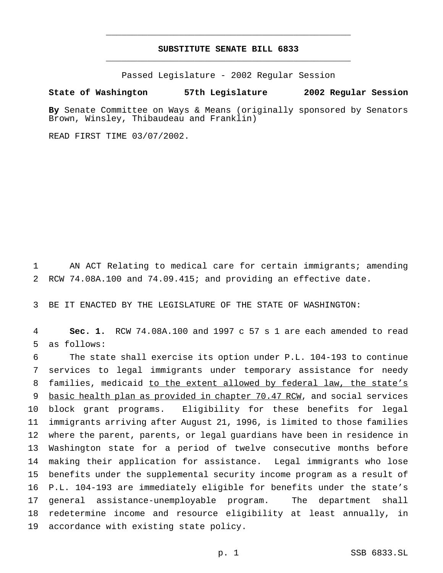# **SUBSTITUTE SENATE BILL 6833** \_\_\_\_\_\_\_\_\_\_\_\_\_\_\_\_\_\_\_\_\_\_\_\_\_\_\_\_\_\_\_\_\_\_\_\_\_\_\_\_\_\_\_\_\_\_\_

\_\_\_\_\_\_\_\_\_\_\_\_\_\_\_\_\_\_\_\_\_\_\_\_\_\_\_\_\_\_\_\_\_\_\_\_\_\_\_\_\_\_\_\_\_\_\_

Passed Legislature - 2002 Regular Session

### **State of Washington 57th Legislature 2002 Regular Session**

**By** Senate Committee on Ways & Means (originally sponsored by Senators Brown, Winsley, Thibaudeau and Franklin)

READ FIRST TIME 03/07/2002.

 AN ACT Relating to medical care for certain immigrants; amending RCW 74.08A.100 and 74.09.415; and providing an effective date.

BE IT ENACTED BY THE LEGISLATURE OF THE STATE OF WASHINGTON:

 **Sec. 1.** RCW 74.08A.100 and 1997 c 57 s 1 are each amended to read as follows:

 The state shall exercise its option under P.L. 104-193 to continue services to legal immigrants under temporary assistance for needy families, medicaid to the extent allowed by federal law, the state's 9 basic health plan as provided in chapter 70.47 RCW, and social services block grant programs. Eligibility for these benefits for legal immigrants arriving after August 21, 1996, is limited to those families where the parent, parents, or legal guardians have been in residence in Washington state for a period of twelve consecutive months before making their application for assistance. Legal immigrants who lose benefits under the supplemental security income program as a result of P.L. 104-193 are immediately eligible for benefits under the state's general assistance-unemployable program. The department shall redetermine income and resource eligibility at least annually, in accordance with existing state policy.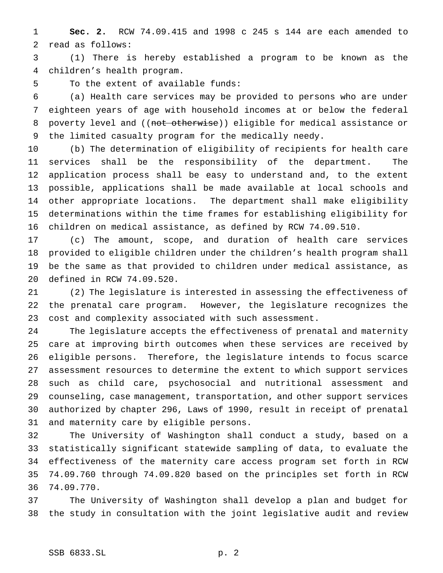**Sec. 2.** RCW 74.09.415 and 1998 c 245 s 144 are each amended to read as follows:

 (1) There is hereby established a program to be known as the children's health program.

To the extent of available funds:

 (a) Health care services may be provided to persons who are under eighteen years of age with household incomes at or below the federal 8 poverty level and ((not otherwise)) eligible for medical assistance or the limited casualty program for the medically needy.

 (b) The determination of eligibility of recipients for health care services shall be the responsibility of the department. The application process shall be easy to understand and, to the extent possible, applications shall be made available at local schools and other appropriate locations. The department shall make eligibility determinations within the time frames for establishing eligibility for children on medical assistance, as defined by RCW 74.09.510.

 (c) The amount, scope, and duration of health care services provided to eligible children under the children's health program shall be the same as that provided to children under medical assistance, as defined in RCW 74.09.520.

 (2) The legislature is interested in assessing the effectiveness of the prenatal care program. However, the legislature recognizes the cost and complexity associated with such assessment.

 The legislature accepts the effectiveness of prenatal and maternity care at improving birth outcomes when these services are received by eligible persons. Therefore, the legislature intends to focus scarce assessment resources to determine the extent to which support services such as child care, psychosocial and nutritional assessment and counseling, case management, transportation, and other support services authorized by chapter 296, Laws of 1990, result in receipt of prenatal and maternity care by eligible persons.

 The University of Washington shall conduct a study, based on a statistically significant statewide sampling of data, to evaluate the effectiveness of the maternity care access program set forth in RCW 74.09.760 through 74.09.820 based on the principles set forth in RCW 74.09.770.

 The University of Washington shall develop a plan and budget for the study in consultation with the joint legislative audit and review